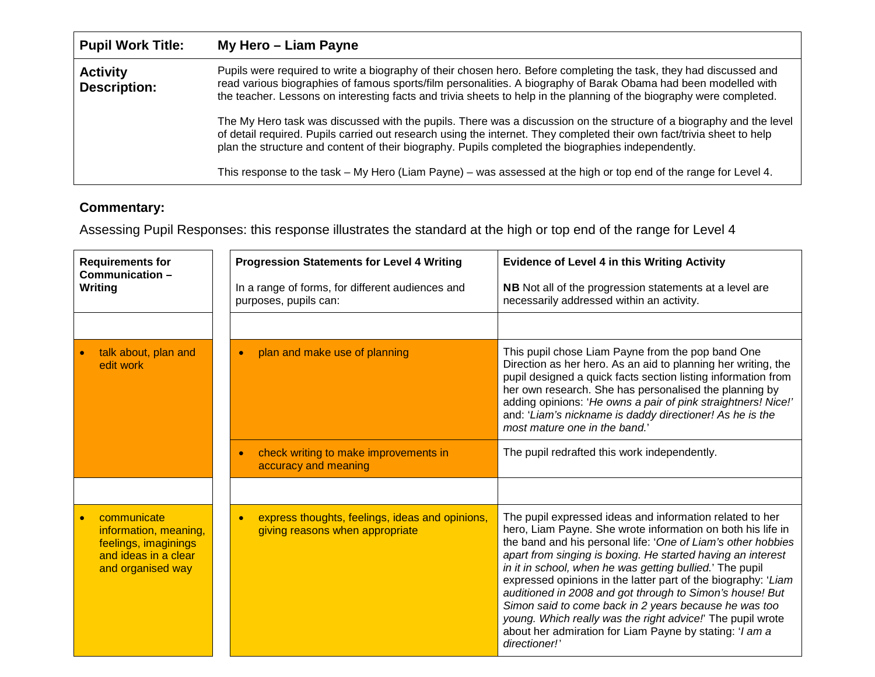| <b>Pupil Work Title:</b>               | My Hero - Liam Payne                                                                                                                                                                                                                                                                                                                                          |
|----------------------------------------|---------------------------------------------------------------------------------------------------------------------------------------------------------------------------------------------------------------------------------------------------------------------------------------------------------------------------------------------------------------|
| <b>Activity</b><br><b>Description:</b> | Pupils were required to write a biography of their chosen hero. Before completing the task, they had discussed and<br>read various biographies of famous sports/film personalities. A biography of Barak Obama had been modelled with<br>the teacher. Lessons on interesting facts and trivia sheets to help in the planning of the biography were completed. |
|                                        | The My Hero task was discussed with the pupils. There was a discussion on the structure of a biography and the level<br>of detail required. Pupils carried out research using the internet. They completed their own fact/trivia sheet to help<br>plan the structure and content of their biography. Pupils completed the biographies independently.          |
|                                        | This response to the task – My Hero (Liam Payne) – was assessed at the high or top end of the range for Level 4.                                                                                                                                                                                                                                              |

## **Commentary:**

Assessing Pupil Responses: this response illustrates the standard at the high or top end of the range for Level 4

| <b>Requirements for</b><br>Communication-<br>Writing                                                      | <b>Progression Statements for Level 4 Writing</b><br>In a range of forms, for different audiences and<br>purposes, pupils can: | <b>Evidence of Level 4 in this Writing Activity</b><br>NB Not all of the progression statements at a level are<br>necessarily addressed within an activity.                                                                                                                                                                                                                                                                                                                                                                                                                                                                                        |
|-----------------------------------------------------------------------------------------------------------|--------------------------------------------------------------------------------------------------------------------------------|----------------------------------------------------------------------------------------------------------------------------------------------------------------------------------------------------------------------------------------------------------------------------------------------------------------------------------------------------------------------------------------------------------------------------------------------------------------------------------------------------------------------------------------------------------------------------------------------------------------------------------------------------|
| talk about, plan and                                                                                      | plan and make use of planning<br>$\bullet$                                                                                     | This pupil chose Liam Payne from the pop band One                                                                                                                                                                                                                                                                                                                                                                                                                                                                                                                                                                                                  |
| edit work                                                                                                 |                                                                                                                                | Direction as her hero. As an aid to planning her writing, the<br>pupil designed a quick facts section listing information from<br>her own research. She has personalised the planning by<br>adding opinions: 'He owns a pair of pink straightners! Nice!'<br>and: 'Liam's nickname is daddy directioner! As he is the<br>most mature one in the band."                                                                                                                                                                                                                                                                                             |
|                                                                                                           | check writing to make improvements in<br>accuracy and meaning                                                                  | The pupil redrafted this work independently.                                                                                                                                                                                                                                                                                                                                                                                                                                                                                                                                                                                                       |
|                                                                                                           |                                                                                                                                |                                                                                                                                                                                                                                                                                                                                                                                                                                                                                                                                                                                                                                                    |
| communicate<br>information, meaning,<br>feelings, imaginings<br>and ideas in a clear<br>and organised way | express thoughts, feelings, ideas and opinions,<br>$\bullet$<br>giving reasons when appropriate                                | The pupil expressed ideas and information related to her<br>hero, Liam Payne. She wrote information on both his life in<br>the band and his personal life: 'One of Liam's other hobbies<br>apart from singing is boxing. He started having an interest<br>in it in school, when he was getting bullied.' The pupil<br>expressed opinions in the latter part of the biography: 'Liam<br>auditioned in 2008 and got through to Simon's house! But<br>Simon said to come back in 2 years because he was too<br>young. Which really was the right advice!' The pupil wrote<br>about her admiration for Liam Payne by stating: 'I am a<br>directioner!' |